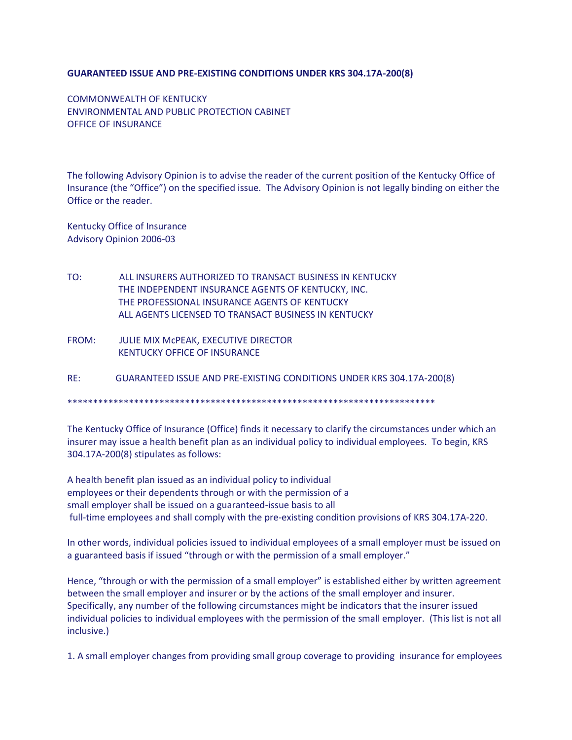## **GUARANTEED ISSUE AND PRE-EXISTING CONDITIONS UNDER KRS 304.17A-200(8)**

COMMONWEALTH OF KENTUCKY ENVIRONMENTAL AND PUBLIC PROTECTION CABINET OFFICE OF INSURANCE

The following Advisory Opinion is to advise the reader of the current position of the Kentucky Office of Insurance (the "Office") on the specified issue. The Advisory Opinion is not legally binding on either the Office or the reader.

Kentucky Office of Insurance Advisory Opinion 2006-03

- TO: ALL INSURERS AUTHORIZED TO TRANSACT BUSINESS IN KENTUCKY THE INDEPENDENT INSURANCE AGENTS OF KENTUCKY, INC. THE PROFESSIONAL INSURANCE AGENTS OF KENTUCKY ALL AGENTS LICENSED TO TRANSACT BUSINESS IN KENTUCKY
- FROM: JULIE MIX McPEAK, EXECUTIVE DIRECTOR KENTUCKY OFFICE OF INSURANCE

RE: GUARANTEED ISSUE AND PRE-EXISTING CONDITIONS UNDER KRS 304.17A-200(8)

\*\*\*\*\*\*\*\*\*\*\*\*\*\*\*\*\*\*\*\*\*\*\*\*\*\*\*\*\*\*\*\*\*\*\*\*\*\*\*\*\*\*\*\*\*\*\*\*\*\*\*\*\*\*\*\*\*\*\*\*\*\*\*\*\*\*\*\*\*\*\*\*

The Kentucky Office of Insurance (Office) finds it necessary to clarify the circumstances under which an insurer may issue a health benefit plan as an individual policy to individual employees. To begin, KRS 304.17A-200(8) stipulates as follows:

A health benefit plan issued as an individual policy to individual employees or their dependents through or with the permission of a small employer shall be issued on a guaranteed-issue basis to all full-time employees and shall comply with the pre-existing condition provisions of KRS 304.17A-220.

In other words, individual policies issued to individual employees of a small employer must be issued on a guaranteed basis if issued "through or with the permission of a small employer."

Hence, "through or with the permission of a small employer" is established either by written agreement between the small employer and insurer or by the actions of the small employer and insurer. Specifically, any number of the following circumstances might be indicators that the insurer issued individual policies to individual employees with the permission of the small employer. (This list is not all inclusive.)

1. A small employer changes from providing small group coverage to providing insurance for employees